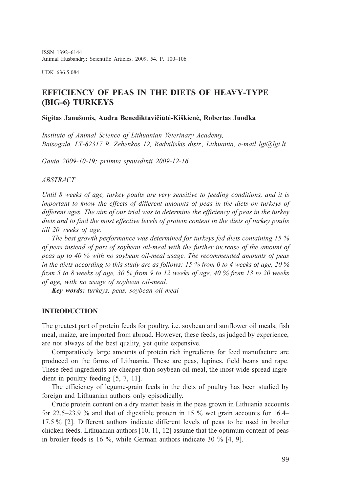ISSN 1392-6144 Animal Husbandry: Scientific Articles. 2009. 54. P. 100-106

UDK 636.5.084

# EFFICIENCY OF PEAS IN THE DIETS OF HEAVY-TYPE (BIG-6) TURKEYS

#### Sigitas Januðonis, Audra Benediktavièiûtë-Kiðkienë, Robertas Juodka

Institute of Animal Science of Lithuanian Veterinary Academy, Baisogala, LT-82317 R. Zebenkos 12, Radviliskis distr., Lithuania, e-mail lgi@lgi.lt

Gauta 2009-10-19; priimta spausdinti 2009-12-16

#### ABSTRACT

Until 8 weeks of age, turkey poults are very sensitive to feeding conditions, and it is important to know the effects of different amounts of peas in the diets on turkeys of different ages. The aim of our trial was to determine the efficiency of peas in the turkey diets and to find the most effective levels of protein content in the diets of turkey poults till 20 weeks of age.

The best growth performance was determined for turkeys fed diets containing 15 % of peas instead of part of soybean oil-meal with the further increase of the amount of peas up to 40 % with no soybean oil-meal usage. The recommended amounts of peas in the diets according to this study are as follows: 15 % from 0 to 4 weeks of age, 20 % from 5 to 8 weeks of age, 30 % from 9 to 12 weeks of age, 40 % from 13 to 20 weeks of age, with no usage of soybean oil-meal.

Key words: turkeys, peas, soybean oil-meal

#### INTRODUCTION

The greatest part of protein feeds for poultry, i.e. soybean and sunflower oil meals, fish meal, maize, are imported from abroad. However, these feeds, as judged by experience, are not always of the best quality, yet quite expensive.

Comparatively large amounts of protein rich ingredients for feed manufacture are produced on the farms of Lithuania. These are peas, lupines, field beans and rape. These feed ingredients are cheaper than soybean oil meal, the most wide-spread ingredient in poultry feeding [5, 7, 11].

The efficiency of legume-grain feeds in the diets of poultry has been studied by foreign and Lithuanian authors only episodically.

Crude protein content on a dry matter basis in the peas grown in Lithuania accounts for 22.5–23.9 % and that of digestible protein in 15 % wet grain accounts for 16.4– 17.5 % [2]. Different authors indicate different levels of peas to be used in broiler chicken feeds. Lithuanian authors [10, 11, 12] assume that the optimum content of peas in broiler feeds is 16 %, while German authors indicate 30 % [4, 9].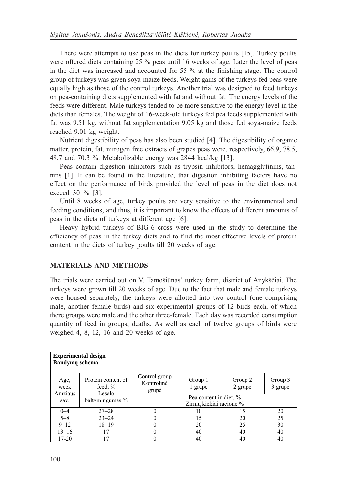There were attempts to use peas in the diets for turkey poults [15]. Turkey poults were offered diets containing 25 % peas until 16 weeks of age. Later the level of peas in the diet was increased and accounted for 55 % at the finishing stage. The control group of turkeys was given soya-maize feeds. Weight gains of the turkeys fed peas were equally high as those of the control turkeys. Another trial was designed to feed turkeys on pea-containing diets supplemented with fat and without fat. The energy levels of the feeds were different. Male turkeys tended to be more sensitive to the energy level in the diets than females. The weight of 16-week-old turkeys fed pea feeds supplemented with fat was 9.51 kg, without fat supplementation 9.05 kg and those fed soya-maize feeds reached 9.01 kg weight.

Nutrient digestibility of peas has also been studied [4]. The digestibility of organic matter, protein, fat, nitrogen free extracts of grapes peas were, respectively, 66.9, 78.5, 48.7 and 70.3 %. Metabolizable energy was 2844 kcal/kg [13].

Peas contain digestion inhibitors such as trypsin inhibitors, hemagglutinins, tannins [1]. It can be found in the literature, that digestion inhibiting factors have no effect on the performance of birds provided the level of peas in the diet does not exceed 30 % [3].

Until 8 weeks of age, turkey poults are very sensitive to the environmental and feeding conditions, and thus, it is important to know the effects of different amounts of peas in the diets of turkeys at different age [6].

Heavy hybrid turkeys of BIG-6 cross were used in the study to determine the efficiency of peas in the turkey diets and to find the most effective levels of protein content in the diets of turkey poults till 20 weeks of age.

## MATERIALS AND METHODS

The trials were carried out on V. Tamošiūnas' turkey farm, district of Anykščiai. The turkeys were grown till 20 weeks of age. Due to the fact that male and female turkeys were housed separately, the turkeys were allotted into two control (one comprising male, another female birds) and six experimental groups of 12 birds each, of which there groups were male and the other three-female. Each day was recorded consumption quantity of feed in groups, deaths. As well as each of twelve groups of birds were weighed 4, 8, 12, 16 and 20 weeks of age.

| <b>Experimental design</b><br><b>Bandymu</b> schema |                                            |                                      |                    |                    |                    |  |  |  |  |
|-----------------------------------------------------|--------------------------------------------|--------------------------------------|--------------------|--------------------|--------------------|--|--|--|--|
| Age,<br>week<br>Amžiaus                             | Protein content of<br>feed, $\%$<br>Lesalo | Control group<br>Kontrolinė<br>grupė | Group 1<br>1 grupė | Group 2<br>2 grupė | Group 3<br>3 grupė |  |  |  |  |
| sav.                                                | baltymingumas %                            | Pea content in diet, %               |                    |                    |                    |  |  |  |  |
|                                                     |                                            | Žirnių kiekiai racione %             |                    |                    |                    |  |  |  |  |
| $0 - 4$                                             | $27 - 28$                                  |                                      | 10                 | 15                 | 20                 |  |  |  |  |
| $5 - 8$                                             | $23 - 24$                                  |                                      | 15                 | 20                 | 25                 |  |  |  |  |
| $9 - 12$                                            | $18 - 19$                                  |                                      | 20                 | 25                 | 30                 |  |  |  |  |
| $13 - 16$                                           | 17                                         |                                      | 40                 | 40                 | 40                 |  |  |  |  |
| 17-20                                               |                                            |                                      | 40                 | 40                 | 40                 |  |  |  |  |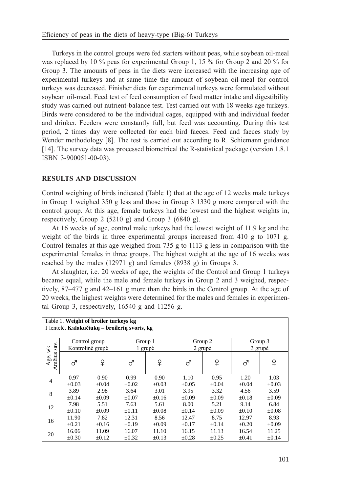Turkeys in the control groups were fed starters without peas, while soybean oil-meal was replaced by 10 % peas for experimental Group 1, 15 % for Group 2 and 20 % for Group 3. The amounts of peas in the diets were increased with the increasing age of experimental turkeys and at same time the amount of soybean oil-meal for control turkeys was decreased. Finisher diets for experimental turkeys were formulated without soybean oil-meal. Feed test of feed consumption of food matter intake and digestibility study was carried out nutrient-balance test. Test carried out with 18 weeks age turkeys. Birds were considered to be the individual cages, equipped with and individual feeder and drinker. Feeders were constantly full, but feed was accounting. During this test period, 2 times day were collected for each bird faeces. Feed and faeces study by Wender methodology [8]. The test is carried out according to R. Schiemann guidance [14]. The survey data was processed biometrical the R-statistical package (version 1.8.1) ISBN 3-900051-00-03).

## RESULTS AND DISCUSSION

Control weighing of birds indicated (Table 1) that at the age of 12 weeks male turkeys in Group 1 weighed 350 g less and those in Group 3 1330 g more compared with the control group. At this age, female turkeys had the lowest and the highest weights in, respectively, Group 2 (5210 g) and Group 3 (6840 g).

At 16 weeks of age, control male turkeys had the lowest weight of 11.9 kg and the weight of the birds in three experimental groups increased from 410 g to 1071 g. Control females at this age weighed from 735 g to 1113 g less in comparison with the experimental females in three groups. The highest weight at the age of 16 weeks was reached by the males (12971 g) and females (8938 g) in Groups 3.

At slaughter, i.e. 20 weeks of age, the weights of the Control and Group 1 turkeys became equal, while the male and female turkeys in Group 2 and 3 weighed, respectively,  $87-477$  g and  $42-161$  g more than the birds in the Control group. At the age of 20 weeks, the highest weights were determined for the males and females in experimental Group 3, respectively,  $16540$  g and  $11256$  g.

| Table 1. Weight of broiler turkeys kg<br>1 lentelė. Kalakučiukų – broilerių svoris, kg |                  |            |            |            |            |            |            |            |  |  |
|----------------------------------------------------------------------------------------|------------------|------------|------------|------------|------------|------------|------------|------------|--|--|
| wk                                                                                     | Control group    |            | Group 1    |            | Group 2    |            | Group 3    |            |  |  |
|                                                                                        | Kontrolinė grupė |            | 1 grupė    |            | 2 grupė    |            | 3 grupė    |            |  |  |
| Amžius sav.<br>Age,                                                                    | ൪                | ₽          | ♂          | ₽          | ♂          | ₽          | ♂          | ₽          |  |  |
| $\overline{4}$                                                                         | 0.97             | 0.90       | 0.99       | 0.90       | 1.10       | 0.95       | 1.20       | 1.03       |  |  |
|                                                                                        | $\pm 0.03$       | $\pm 0.04$ | $+0.02$    | $+0.03$    | $\pm 0.05$ | $\pm 0.04$ | $\pm 0.04$ | $\pm 0.03$ |  |  |
| 8                                                                                      | 3.89             | 2.98       | 3.64       | 3.01       | 3.95       | 3.32       | 4.56       | 3.59       |  |  |
|                                                                                        | $\pm 0.14$       | $\pm 0.09$ | $\pm 0.07$ | $\pm 0.16$ | $\pm 0.09$ | $\pm 0.09$ | $\pm 0.18$ | $\pm 0.09$ |  |  |
| 12                                                                                     | 7.98             | 5.51       | 7.63       | 5.61       | 8.00       | 5.21       | 9.14       | 6.84       |  |  |
|                                                                                        | $+0.10$          | $+0.09$    | $+0.11$    | $+0.08$    | $+0.14$    | $+0.09$    | $+0.10$    | $\pm 0.08$ |  |  |
| 16                                                                                     | 11.90            | 7.82       | 12.31      | 8.56       | 12.47      | 8.75       | 12.97      | 8.93       |  |  |
|                                                                                        | $\pm 0.21$       | $\pm 0.16$ | $\pm 0.19$ | $\pm 0.09$ | $\pm 0.17$ | $\pm 0.14$ | $\pm 0.20$ | $\pm 0.09$ |  |  |
| 20                                                                                     | 16.06            | 11.09      | 16.07      | 11.10      | 16.15      | 11.13      | 16.54      | 11.25      |  |  |
|                                                                                        | $\pm 0.30$       | $\pm 0.12$ | $\pm 0.32$ | $\pm 0.13$ | $\pm 0.28$ | $\pm 0.25$ | $\pm 0.41$ | $\pm 0.14$ |  |  |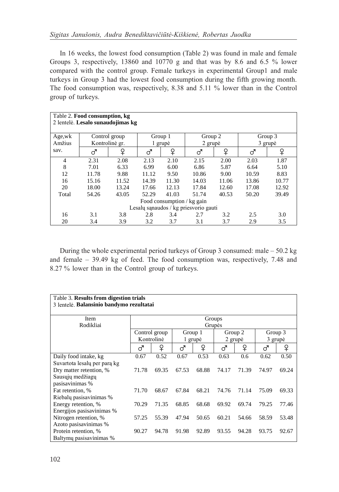In 16 weeks, the lowest food consumption (Table 2) was found in male and female Groups 3, respectively, 13860 and 10770 g and that was by 8.6 and 6.5 % lower compared with the control group. Female turkeys in experimental Group1 and male turkeys in Group 3 had the lowest food consumption during the fifth growing month. The food consumption was, respectively, 8.38 and 5.11 % lower than in the Control group of turkeys.

| Table 2. Food consumption, kg<br>2 lentelė. Lesalo sunaudojimas kg |                |       |         |       |         |       |         |       |  |  |  |
|--------------------------------------------------------------------|----------------|-------|---------|-------|---------|-------|---------|-------|--|--|--|
| Age,wk                                                             | Control group  |       | Group 1 |       | Group 2 |       | Group 3 |       |  |  |  |
| Amžius                                                             | Kontrolinė gr. |       | 1 grupė |       | 2 grupė |       | 3 grupė |       |  |  |  |
| sav.                                                               | ൪              | ₽     | ♂       | ♀     | ♂       | ♀     | ൪       | ₽     |  |  |  |
| 4                                                                  | 2.31           | 2.08  | 2.13    | 2.10  | 2.15    | 2.00  | 2.03    | 1.87  |  |  |  |
| 8                                                                  | 7.01           | 6.33  | 6.99    | 6.00  | 6.86    | 5.87  | 6.64    | 5.10  |  |  |  |
| 12                                                                 | 11.78          | 9.88  | 11.12   | 9.50  | 10.86   | 9.00  | 10.59   | 8.83  |  |  |  |
| 16                                                                 | 15.16          | 11.52 | 14.39   | 11.30 | 14.03   | 11.06 | 13.86   | 10.77 |  |  |  |
| 20                                                                 | 18.00          | 13.24 | 17.66   | 12.13 | 17.84   | 12.60 | 17.08   | 12.92 |  |  |  |
| Total                                                              | 54.26          | 43.05 | 52.29   | 41.03 | 51.74   | 40.53 | 50.20   | 39.49 |  |  |  |
| Food consumption / kg gain                                         |                |       |         |       |         |       |         |       |  |  |  |
| Lesalu sanaudos / kg priesvorio gauti                              |                |       |         |       |         |       |         |       |  |  |  |
| 16                                                                 | 3.1            | 3.8   | 2.8     | 3.4   | 2.7     | 3.2   | 2.5     | 3.0   |  |  |  |
| 20                                                                 | 3.4            | 3.9   | 3.2     | 3.7   | 3.1     | 3.7   | 2.9     | 3.5   |  |  |  |

During the whole experimental period turkeys of Group 3 consumed: male  $-50.2$  kg and female  $-39.49$  kg of feed. The food consumption was, respectively, 7.48 and 8.27 % lower than in the Control group of turkeys.

| Table 3. Results from digestion trials   |            |               |         |         |         |         |         |         |  |  |
|------------------------------------------|------------|---------------|---------|---------|---------|---------|---------|---------|--|--|
| 3 lentelė. Balansinio bandymo rezultatai |            |               |         |         |         |         |         |         |  |  |
|                                          |            |               |         |         |         |         |         |         |  |  |
| Item                                     | Groups     |               |         |         |         |         |         |         |  |  |
| Rodikliai                                | Grupės     |               |         |         |         |         |         |         |  |  |
|                                          |            | Control group |         | Group 1 |         | Group 2 |         | Group 3 |  |  |
|                                          | Kontrolinė |               | 1 grupė |         | 2 grupė |         | 3 grupė |         |  |  |
|                                          | ♂          | ₽             | ൪       | ₽       | ♂       | ₽       | ♂       | ₽       |  |  |
| Daily food intake, kg                    | 0.67       | 0.52          | 0.67    | 0.53    | 0.63    | 0.6     | 0.62    | 0.50    |  |  |
| Suvartota lesalu per para kg             |            |               |         |         |         |         |         |         |  |  |
| Dry matter retention, %                  | 71.78      | 69.35         | 67.53   | 68.88   | 74.17   | 71.39   | 74.97   | 69.24   |  |  |
| Sausuju medžiagu                         |            |               |         |         |         |         |         |         |  |  |
| pasisavinimas %                          |            |               |         |         |         |         |         |         |  |  |
| Fat retention, %                         | 71.70      | 68.67         | 67.84   | 68.21   | 74.76   | 71.14   | 75.09   | 69.33   |  |  |
| Riebalų pasisavinimas %                  |            |               |         |         |         |         |         |         |  |  |
| Energy retention, %                      | 70.29      | 71.35         | 68.85   | 68.68   | 69.92   | 69.74   | 79.25   | 77.46   |  |  |
| Energijos pasisavinimas %                |            |               |         |         |         |         |         |         |  |  |
| Nitrogen retention, %                    | 57.25      | 55.39         | 47.94   | 50.65   | 60.21   | 54.66   | 58.59   | 53.48   |  |  |
| Azoto pasisavinimas %                    |            |               |         |         |         |         |         |         |  |  |
| Protein retention, %                     | 90.27      | 94.78         | 91.98   | 92.89   | 93.55   | 94.28   | 93.75   | 92.67   |  |  |
| Baltymų pasisavinimas %                  |            |               |         |         |         |         |         |         |  |  |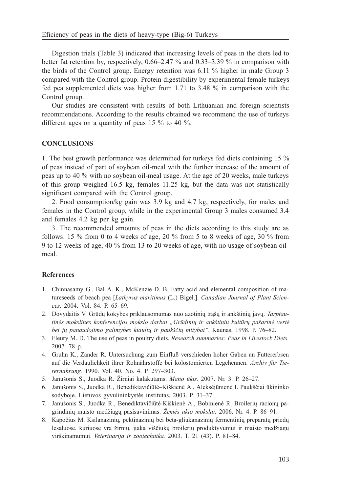Digestion trials (Table 3) indicated that increasing levels of peas in the diets led to better fat retention by, respectively,  $0.66-2.47\%$  and  $0.33-3.39\%$  in comparison with the birds of the Control group. Energy retention was 6.11 % higher in male Group 3 compared with the Control group. Protein digestibility by experimental female turkeys fed pea supplemented diets was higher from 1.71 to 3.48 % in comparison with the Control group.

Our studies are consistent with results of both Lithuanian and foreign scientists recommendations. According to the results obtained we recommend the use of turkeys different ages on a quantity of peas 15 % to 40 %.

## **CONCLUSIONS**

1. The best growth performance was determined for turkeys fed diets containing 15 % of peas instead of part of soybean oil-meal with the further increase of the amount of peas up to 40 % with no soybean oil-meal usage. At the age of 20 weeks, male turkeys of this group weighed 16.5 kg, females 11.25 kg, but the data was not statistically significant compared with the Control group.

2. Food consumption/kg gain was 3.9 kg and 4.7 kg, respectively, for males and females in the Control group, while in the experimental Group 3 males consumed 3.4 and females 4.2 kg per kg gain.

3. The recommended amounts of peas in the diets according to this study are as follows: 15  $\%$  from 0 to 4 weeks of age, 20  $\%$  from 5 to 8 weeks of age, 30  $\%$  from 9 to 12 weeks of age, 40 % from 13 to 20 weeks of age, with no usage of soybean oilmeal.

### References

- 1. Chinnasamy G., Bal A. K., McKenzie D. B. Fatty acid and elemental composition of matureseeds of beach pea [Lathyrus maritimus (L.) Bigel.]. Canadian Journal of Plant Sciences. 2004. Vol. 84. P. 65-69.
- 2. Dovydaitis V. Grūdų kokybės priklausomumas nuo azotinių trašų ir ankštinių javų. Tarptautinės mokslinės konferencijos mokslo darbai "Grūdinių ir ankštinių kultūrų pašarinė vertė bei jų panaudojimo galimybės kiaulių ir paukščių mitybai". Kaunas, 1998. P. 76–82.
- 3. Fleury M. D. The use of peas in poultry diets. Research summaries: Peas in Livestock Diets. 2007. 78 p.
- 4. Gruhn K., Zander R. Untersuchung zum Einfluß verschieden hoher Gaben an Futtererbsen auf die Verdaulichkeit ihrer Rohnährstoffe bei kolostomierten Legehennen. Archiv für Tierernährung. 1990. Vol. 40. No. 4. P. 297-303.
- 5. Janušonis S., Juodka R. Žirniai kalakutams. Mano ūkis. 2007. Nr. 3. P. 26–27.
- 6. Janušonis S., Juodka R., Benediktavičiūtė–Kiškienė A., Aleksėjūnienė I. Paukščiai ūkininko sodyboje. Lietuvos gyvulininkystės institutas, 2003. P. 31-37.
- 7. Janušonis S., Juodka R., Benediktavičiūtė-Kiškienė A., Bobinienė R. Broilerių racionų pagrindinių maisto medžiagų pasisavinimas. Žemės ūkio mokslai. 2006. Nr. 4. P. 86–91.
- 8. Kapočius M. Ksilanazinių, pektinazinių bei beta-gliukanazinių fermentinių preparatų priedų lesaluose, kuriuose yra žirnių, įtaka viščiukų broilerių produktyvumui ir maisto medžiagų virškinamumui. Veterinarija ir zootechnika. 2003. T. 21 (43). P. 81-84.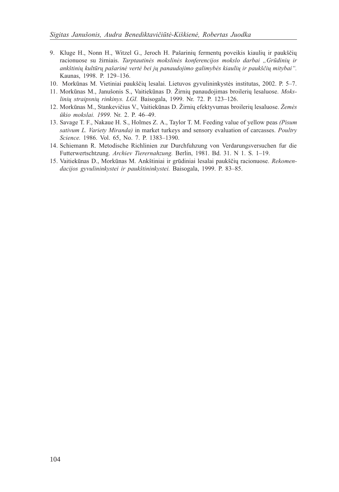- 9. Kluge H., Nonn H., Witzel G., Jeroch H. Pašarinių fermentų poveikis kiaulių ir paukščių racionuose su žirniais. Tarptautinės mokslinės konferencijos mokslo darbai "Grūdinių ir ankštinių kultūrų pašarinė vertė bei jų panaudojimo galimybės kiaulių ir paukščių mitybai". Kaunas, 1998. P. 129-136.
- 10. Morkūnas M. Vietiniai paukščių lesalai. Lietuvos gyvulininkystės institutas, 2002. P. 5-7.
- 11. Morkūnas M., Janušonis S., Vaitiekūnas D. Žirnių panaudojimas broilerių lesaluose. Mokslinių straipsnių rinkinys. LGI. Baisogala, 1999. Nr. 72. P. 123-126.
- 12. Morkūnas M., Stankevičius V., Vaitiekūnas D. Žirnių efektyvumas broilerių lesaluose. Žemės ūkio mokslai. 1999. Nr. 2. P. 46-49.
- 13. Savage T. F., Nakaue H. S., Holmes Z. A., Taylor T. M. Feeding value of yellow peas (Pisum sativum L. Variety Miranda) in market turkeys and sensory evaluation of carcasses. Poultry Science. 1986. Vol. 65, No. 7. P. 1383-1390.
- 14. Schiemann R. Metodische Richlinien zur Durchfuhzung von Verdarungsversuchen fur die Futterwertschtzung. Archiev Tierernahzung. Berlin, 1981. Bd. 31. N 1. S. 1-19.
- 15. Vaitiekūnas D., Morkūnas M. Ankštiniai ir grūdiniai lesalai paukščių racionuose. Rekomendacijos gyvulininkystei ir paukštininkystei. Baisogala, 1999. P. 83-85.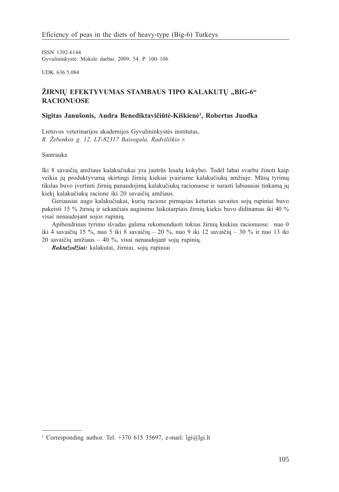ISSN 1392-6144 Gyvulininkystė: Mokslo darbai. 2009. 54. P. 100-106

UDK 636.5.084

## ŽIRNIŲ EFEKTYVUMAS STAMBAUS TIPO KALAKUTŲ "BIG-6" RACIONUOSE

### Sigitas Janušonis, Audra Benediktavičiūtė-Kiškienė<sup>1</sup>, Robertas Juodka

Lietuvos veterinarijos akademijos Gyvulininkystës institutas, R. Žebenkos g. 12, LT-82317 Baisogala, Radviliškio r.

Santrauka

Iki 8 savaičių amžiaus kalakučiukai yra jautrūs lesalų kokybei. Todėl labai svarbu žinoti kaip veikia jų produktyvumą skirtingi žirnių kiekiai įvairiame kalakučiukų amžiuje. Mūsų tyrimų tikslas buvo įvertinti žirnių panaudojimą kalakučiukų racionuose ir surasti labiausiai tinkamą jų kiekį kalakučiukų racione iki 20 savaičių amžiaus.

Geriausiai augo kalakučiukai, kurių racione pirmąsias keturias savaites sojų rupiniai buvo pakeisti 15 % žirnių ir sekančiais auginimo laikotarpiais žirnių kiekis buvo didinamas iki 40 % visai nenaudojant sojos rupinių.

Apibendrinus tyrimo išvadas galima rekomenduoti tokius žirnių kiekius racionuose: nuo 0 iki 4 savaičių 15 %, nuo 5 iki 8 savaičių – 20 %, nuo 9 iki 12 savaičių – 30 % ir nuo 13 iki 20 savaičių amžiaus  $-40$  %, visai nenaudojant sojų rupinių.

Raktažodžiai: kalakutai, žirniai, sojų rupiniai

<sup>&</sup>lt;sup>1</sup> Corresponding author. Tel. +370 615 35697, e-mail: lgi@lgi.lt